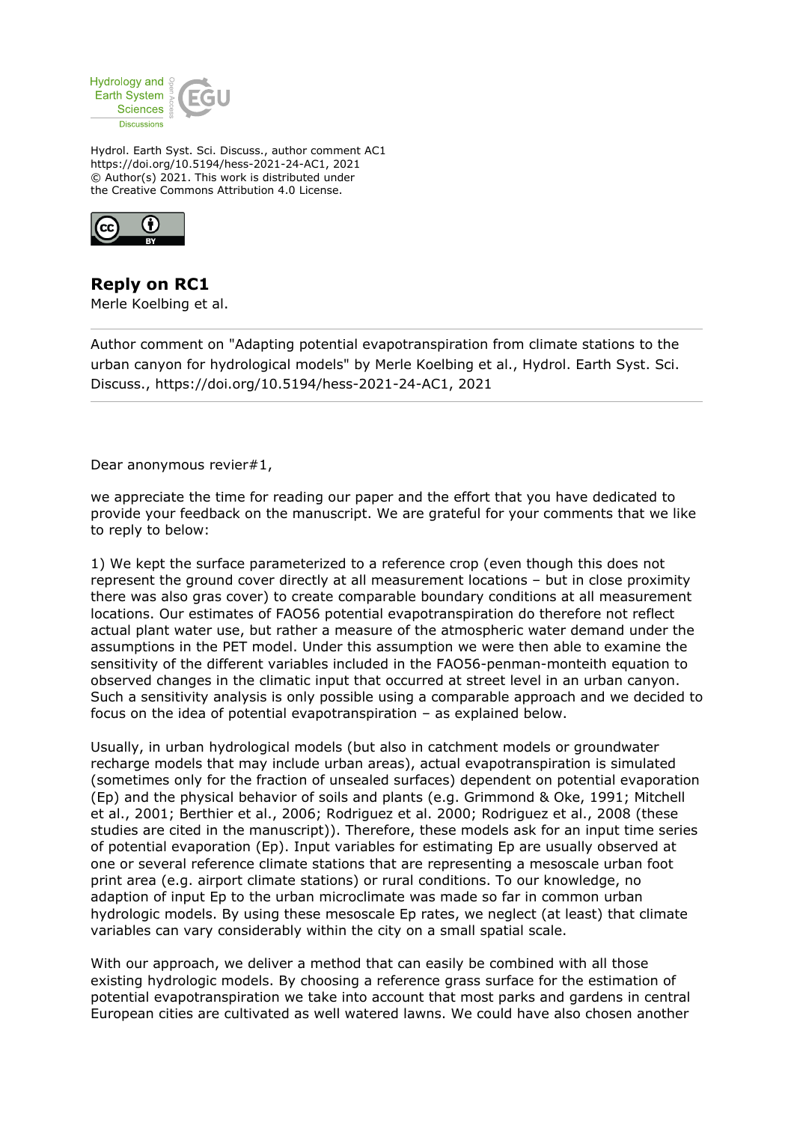

Hydrol. Earth Syst. Sci. Discuss., author comment AC1 https://doi.org/10.5194/hess-2021-24-AC1, 2021 © Author(s) 2021. This work is distributed under the Creative Commons Attribution 4.0 License.



**Reply on RC1** Merle Koelbing et al.

Author comment on "Adapting potential evapotranspiration from climate stations to the urban canyon for hydrological models" by Merle Koelbing et al., Hydrol. Earth Syst. Sci. Discuss., https://doi.org/10.5194/hess-2021-24-AC1, 2021

Dear anonymous revier#1,

we appreciate the time for reading our paper and the effort that you have dedicated to provide your feedback on the manuscript. We are grateful for your comments that we like to reply to below:

1) We kept the surface parameterized to a reference crop (even though this does not represent the ground cover directly at all measurement locations – but in close proximity there was also gras cover) to create comparable boundary conditions at all measurement locations. Our estimates of FAO56 potential evapotranspiration do therefore not reflect actual plant water use, but rather a measure of the atmospheric water demand under the assumptions in the PET model. Under this assumption we were then able to examine the sensitivity of the different variables included in the FAO56-penman-monteith equation to observed changes in the climatic input that occurred at street level in an urban canyon. Such a sensitivity analysis is only possible using a comparable approach and we decided to focus on the idea of potential evapotranspiration – as explained below.

Usually, in urban hydrological models (but also in catchment models or groundwater recharge models that may include urban areas), actual evapotranspiration is simulated (sometimes only for the fraction of unsealed surfaces) dependent on potential evaporation (Ep) and the physical behavior of soils and plants (e.g. Grimmond & Oke, 1991; Mitchell et al., 2001; Berthier et al., 2006; Rodriguez et al. 2000; Rodriguez et al., 2008 (these studies are cited in the manuscript)). Therefore, these models ask for an input time series of potential evaporation (Ep). Input variables for estimating Ep are usually observed at one or several reference climate stations that are representing a mesoscale urban foot print area (e.g. airport climate stations) or rural conditions. To our knowledge, no adaption of input Ep to the urban microclimate was made so far in common urban hydrologic models. By using these mesoscale Ep rates, we neglect (at least) that climate variables can vary considerably within the city on a small spatial scale.

With our approach, we deliver a method that can easily be combined with all those existing hydrologic models. By choosing a reference grass surface for the estimation of potential evapotranspiration we take into account that most parks and gardens in central European cities are cultivated as well watered lawns. We could have also chosen another